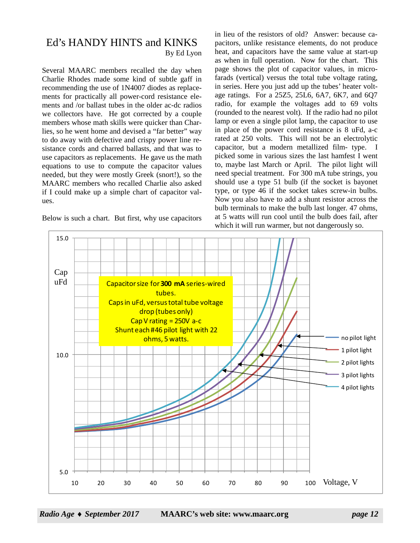## Ed's HANDY HINTS and KINKS By Ed Lyon

Several MAARC members recalled the day when Charlie Rhodes made some kind of subtle gaff in recommending the use of 1N4007 diodes as replacements for practically all power-cord resistance elements and /or ballast tubes in the older ac-dc radios we collectors have. He got corrected by a couple members whose math skills were quicker than Charlies, so he went home and devised a "far better" way to do away with defective and crispy power line resistance cords and charred ballasts, and that was to use capacitors as replacements. He gave us the math equations to use to compute the capacitor values needed, but they were mostly Greek (snort!), so the MAARC members who recalled Charlie also asked if I could make up a simple chart of capacitor values.

Below is such a chart. But first, why use capacitors

in lieu of the resistors of old? Answer: because capacitors, unlike resistance elements, do not produce heat, and capacitors have the same value at start-up as when in full operation. Now for the chart. This page shows the plot of capacitor values, in microfarads (vertical) versus the total tube voltage rating, in series. Here you just add up the tubes' heater voltage ratings. For a 25Z5, 25L6, 6A7, 6K7, and 6Q7 radio, for example the voltages add to 69 volts (rounded to the nearest volt). If the radio had no pilot lamp or even a single pilot lamp, the capacitor to use in place of the power cord resistance is 8 uFd, a-c rated at 250 volts. This will not be an electrolytic capacitor, but a modern metallized film- type. I picked some in various sizes the last hamfest I went to, maybe last March or April. The pilot light will need special treatment. For 300 mA tube strings, you should use a type 51 bulb (if the socket is bayonet type, or type 46 if the socket takes screw-in bulbs. Now you also have to add a shunt resistor across the bulb terminals to make the bulb last longer. 47 ohms, at 5 watts will run cool until the bulb does fail, after which it will run warmer, but not dangerously so.